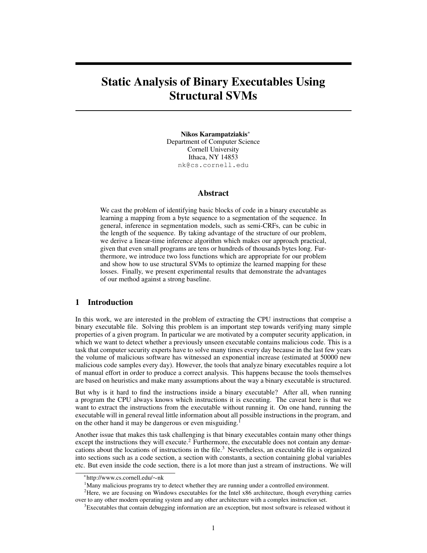# Static Analysis of Binary Executables Using Structural SVMs

Nikos Karampatziakis<sup>∗</sup> Department of Computer Science Cornell University Ithaca, NY 14853 nk@cs.cornell.edu

## Abstract

We cast the problem of identifying basic blocks of code in a binary executable as learning a mapping from a byte sequence to a segmentation of the sequence. In general, inference in segmentation models, such as semi-CRFs, can be cubic in the length of the sequence. By taking advantage of the structure of our problem, we derive a linear-time inference algorithm which makes our approach practical, given that even small programs are tens or hundreds of thousands bytes long. Furthermore, we introduce two loss functions which are appropriate for our problem and show how to use structural SVMs to optimize the learned mapping for these losses. Finally, we present experimental results that demonstrate the advantages of our method against a strong baseline.

## 1 Introduction

In this work, we are interested in the problem of extracting the CPU instructions that comprise a binary executable file. Solving this problem is an important step towards verifying many simple properties of a given program. In particular we are motivated by a computer security application, in which we want to detect whether a previously unseen executable contains malicious code. This is a task that computer security experts have to solve many times every day because in the last few years the volume of malicious software has witnessed an exponential increase (estimated at 50000 new malicious code samples every day). However, the tools that analyze binary executables require a lot of manual effort in order to produce a correct analysis. This happens because the tools themselves are based on heuristics and make many assumptions about the way a binary executable is structured.

But why is it hard to find the instructions inside a binary executable? After all, when running a program the CPU always knows which instructions it is executing. The caveat here is that we want to extract the instructions from the executable without running it. On one hand, running the executable will in general reveal little information about all possible instructions in the program, and on the other hand it may be dangerous or even misguiding.<sup>1</sup>

Another issue that makes this task challenging is that binary executables contain many other things except the instructions they will execute.<sup>2</sup> Furthermore, the executable does not contain any demarcations about the locations of instructions in the file.<sup>3</sup> Nevertheless, an executable file is organized into sections such as a code section, a section with constants, a section containing global variables etc. But even inside the code section, there is a lot more than just a stream of instructions. We will

<sup>∗</sup> http://www.cs.cornell.edu/∼nk

<sup>&</sup>lt;sup>1</sup>Many malicious programs try to detect whether they are running under a controlled environment.

<sup>&</sup>lt;sup>2</sup>Here, we are focusing on Windows executables for the Intel x86 architecture, though everything carries over to any other modern operating system and any other architecture with a complex instruction set.

 $3E$  Executables that contain debugging information are an exception, but most software is released without it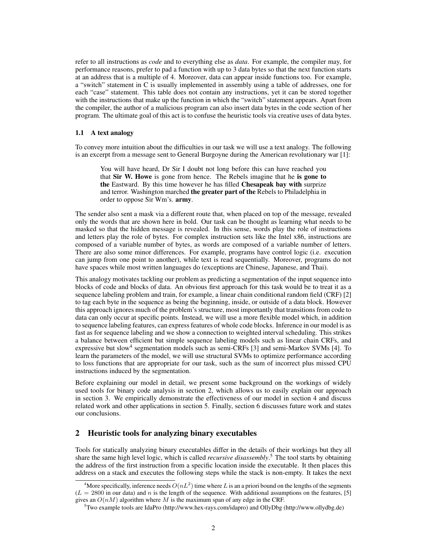refer to all instructions as *code* and to everything else as *data*. For example, the compiler may, for performance reasons, prefer to pad a function with up to 3 data bytes so that the next function starts at an address that is a multiple of 4. Moreover, data can appear inside functions too. For example, a "switch" statement in C is usually implemented in assembly using a table of addresses, one for each "case" statement. This table does not contain any instructions, yet it can be stored together with the instructions that make up the function in which the "switch" statement appears. Apart from the compiler, the author of a malicious program can also insert data bytes in the code section of her program. The ultimate goal of this act is to confuse the heuristic tools via creative uses of data bytes.

## 1.1 A text analogy

To convey more intuition about the difficulties in our task we will use a text analogy. The following is an excerpt from a message sent to General Burgoyne during the American revolutionary war [1]:

You will have heard, Dr Sir I doubt not long before this can have reached you that Sir W. Howe is gone from hence. The Rebels imagine that he is gone to the Eastward. By this time however he has filled Chesapeak bay with surprize and terror. Washington marched the greater part of the Rebels to Philadelphia in order to oppose Sir Wm's. army.

The sender also sent a mask via a different route that, when placed on top of the message, revealed only the words that are shown here in bold. Our task can be thought as learning what needs to be masked so that the hidden message is revealed. In this sense, words play the role of instructions and letters play the role of bytes. For complex instruction sets like the Intel x86, instructions are composed of a variable number of bytes, as words are composed of a variable number of letters. There are also some minor differences. For example, programs have control logic (i.e. execution can jump from one point to another), while text is read sequentially. Moreover, programs do not have spaces while most written languages do (exceptions are Chinese, Japanese, and Thai).

This analogy motivates tackling our problem as predicting a segmentation of the input sequence into blocks of code and blocks of data. An obvious first approach for this task would be to treat it as a sequence labeling problem and train, for example, a linear chain conditional random field (CRF) [2] to tag each byte in the sequence as being the beginning, inside, or outside of a data block. However this approach ignores much of the problem's structure, most importantly that transitions from code to data can only occur at specific points. Instead, we will use a more flexible model which, in addition to sequence labeling features, can express features of whole code blocks. Inference in our model is as fast as for sequence labeling and we show a connection to weighted interval scheduling. This strikes a balance between efficient but simple sequence labeling models such as linear chain CRFs, and expressive but slow<sup>4</sup> segmentation models such as semi-CRFs [3] and semi-Markov SVMs [4]. To learn the parameters of the model, we will use structural SVMs to optimize performance according to loss functions that are appropriate for our task, such as the sum of incorrect plus missed CPU instructions induced by the segmentation.

Before explaining our model in detail, we present some background on the workings of widely used tools for binary code analysis in section 2, which allows us to easily explain our approach in section 3. We empirically demonstrate the effectiveness of our model in section 4 and discuss related work and other applications in section 5. Finally, section 6 discusses future work and states our conclusions.

# 2 Heuristic tools for analyzing binary executables

Tools for statically analyzing binary executables differ in the details of their workings but they all share the same high level logic, which is called *recursive disassembly*. <sup>5</sup> The tool starts by obtaining the address of the first instruction from a specific location inside the executable. It then places this address on a stack and executes the following steps while the stack is non-empty. It takes the next

<sup>&</sup>lt;sup>4</sup>More specifically, inference needs  $O(nL^2)$  time where L is an a priori bound on the lengths of the segments  $(L = 2800$  in our data) and n is the length of the sequence. With additional assumptions on the features, [5] gives an  $O(nM)$  algorithm where M is the maximum span of any edge in the CRF.

<sup>5</sup>Two example tools are IdaPro (http://www.hex-rays.com/idapro) and OllyDbg (http://www.ollydbg.de)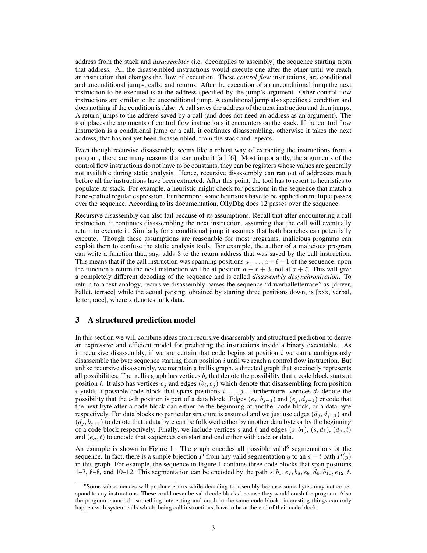address from the stack and *disassembles* (i.e. decompiles to assembly) the sequence starting from that address. All the disassembled instructions would execute one after the other until we reach an instruction that changes the flow of execution. These *control flow* instructions, are conditional and unconditional jumps, calls, and returns. After the execution of an unconditional jump the next instruction to be executed is at the address specified by the jump's argument. Other control flow instructions are similar to the unconditional jump. A conditional jump also specifies a condition and does nothing if the condition is false. A call saves the address of the next instruction and then jumps. A return jumps to the address saved by a call (and does not need an address as an argument). The tool places the arguments of control flow instructions it encounters on the stack. If the control flow instruction is a conditional jump or a call, it continues disassembling, otherwise it takes the next address, that has not yet been disassembled, from the stack and repeats.

Even though recursive disassembly seems like a robust way of extracting the instructions from a program, there are many reasons that can make it fail [6]. Most importantly, the arguments of the control flow instructions do not have to be constants, they can be registers whose values are generally not available during static analysis. Hence, recursive disassembly can ran out of addresses much before all the instructions have been extracted. After this point, the tool has to resort to heuristics to populate its stack. For example, a heuristic might check for positions in the sequence that match a hand-crafted regular expression. Furthermore, some heuristics have to be applied on multiple passes over the sequence. According to its documentation, OllyDbg does 12 passes over the sequence.

Recursive disassembly can also fail because of its assumptions. Recall that after encountering a call instruction, it continues disassembling the next instruction, assuming that the call will eventually return to execute it. Similarly for a conditional jump it assumes that both branches can potentially execute. Though these assumptions are reasonable for most programs, malicious programs can exploit them to confuse the static analysis tools. For example, the author of a malicious program can write a function that, say, adds 3 to the return address that was saved by the call instruction. This means that if the call instruction was spanning positions  $a, \ldots, a + \ell - 1$  of the sequence, upon the function's return the next instruction will be at position  $a + \ell + 3$ , not at  $a + \ell$ . This will give a completely different decoding of the sequence and is called *disassembly desynchronization*. To return to a text analogy, recursive disassembly parses the sequence "driverballetterrace" as [driver, ballet, terrace] while the actual parsing, obtained by starting three positions down, is [xxx, verbal, letter, race], where x denotes junk data.

# 3 A structured prediction model

In this section we will combine ideas from recursive disassembly and structured prediction to derive an expressive and efficient model for predicting the instructions inside a binary executable. As in recursive disassembly, if we are certain that code begins at position  $i$  we can unambiguously disassemble the byte sequence starting from position  $i$  until we reach a control flow instruction. But unlike recursive disassembly, we maintain a trellis graph, a directed graph that succinctly represents all possibilities. The trellis graph has vertices  $b_i$  that denote the possibility that a code block starts at position *i*. It also has vertices  $e_j$  and edges  $(b_i, e_j)$  which denote that disassembling from position i yields a possible code block that spans positions  $i, \ldots, j$ . Furthermore, vertices  $d_i$  denote the possibility that the *i*-th position is part of a data block. Edges  $(e_j, b_{j+1})$  and  $(e_j, d_{j+1})$  encode that the next byte after a code block can either be the beginning of another code block, or a data byte respectively. For data blocks no particular structure is assumed and we just use edges  $(d_i, d_{i+1})$  and  $(d_j, b_{j+1})$  to denote that a data byte can be followed either by another data byte or by the beginning of a code block respectively. Finally, we include vertices s and t and edges  $(s, b_1)$ ,  $(s, d_1)$ ,  $(d_n, t)$ and  $(e_n, t)$  to encode that sequences can start and end either with code or data.

An example is shown in Figure 1. The graph encodes all possible valid<sup>6</sup> segmentations of the sequence. In fact, there is a simple bijection P from any valid segmentation y to an  $s - t$  path  $P(y)$ in this graph. For example, the sequence in Figure 1 contains three code blocks that span positions 1–7, 8–8, and 10–12. This segmentation can be encoded by the path  $s, b_1, e_7, b_8, e_8, d_9, b_{10}, e_{12}, t$ .

<sup>&</sup>lt;sup>6</sup>Some subsequences will produce errors while decoding to assembly because some bytes may not correspond to any instructions. These could never be valid code blocks because they would crash the program. Also the program cannot do something interesting and crash in the same code block; interesting things can only happen with system calls which, being call instructions, have to be at the end of their code block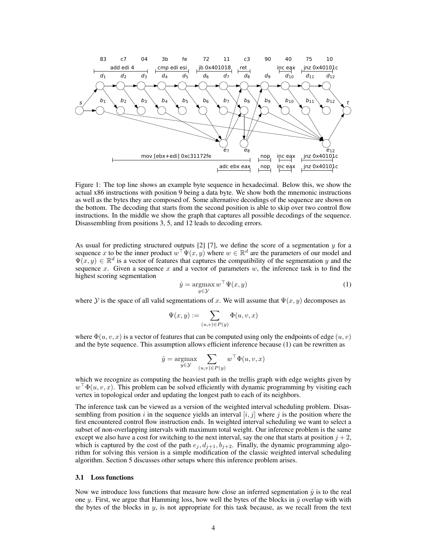

Figure 1: The top line shows an example byte sequence in hexadecimal. Below this, we show the actual x86 instructions with position 9 being a data byte. We show both the mnemonic instructions as well as the bytes they are composed of. Some alternative decodings of the sequence are shown on the bottom. The decoding that starts from the second position is able to skip over two control flow instructions. In the middle we show the graph that captures all possible decodings of the sequence. Disassembling from positions 3, 5, and 12 leads to decoding errors.

As usual for predicting structured outputs  $[2]$   $[7]$ , we define the score of a segmentation  $y$  for a sequence x to be the inner product  $w^{\top} \Psi(x, y)$  where  $w \in \mathbb{R}^d$  are the parameters of our model and  $\Psi(x, y) \in \mathbb{R}^d$  is a vector of features that captures the compatibility of the segmentation y and the sequence x. Given a sequence x and a vector of parameters  $w$ , the inference task is to find the highest scoring segmentation

$$
\hat{y} = \underset{y \in \mathcal{Y}}{\operatorname{argmax}} w^{\top} \Psi(x, y) \tag{1}
$$

where  $\mathcal Y$  is the space of all valid segmentations of x. We will assume that  $\Psi(x, y)$  decomposes as

$$
\Psi(x,y) := \sum_{(u,v) \in P(y)} \Phi(u,v,x)
$$

where  $\Phi(u, v, x)$  is a vector of features that can be computed using only the endpoints of edge  $(u, v)$ and the byte sequence. This assumption allows efficient inference because (1) can be rewritten as

$$
\hat{y} = \underset{y \in \mathcal{Y}}{\operatorname{argmax}} \sum_{(u,v) \in P(y)} w^{\top} \Phi(u,v,x)
$$

which we recognize as computing the heaviest path in the trellis graph with edge weights given by  $w^{\top}\Phi(u, v, x)$ . This problem can be solved efficiently with dynamic programming by visiting each vertex in topological order and updating the longest path to each of its neighbors.

The inference task can be viewed as a version of the weighted interval scheduling problem. Disassembling from position i in the sequence yields an interval  $[i, j]$  where j is the position where the first encountered control flow instruction ends. In weighted interval scheduling we want to select a subset of non-overlapping intervals with maximum total weight. Our inference problem is the same except we also have a cost for switching to the next interval, say the one that starts at position  $j + 2$ , which is captured by the cost of the path  $e_j$ ,  $d_{j+1}$ ,  $b_{j+2}$ . Finally, the dynamic programming algorithm for solving this version is a simple modification of the classic weighted interval scheduling algorithm. Section 5 discusses other setups where this inference problem arises.

### 3.1 Loss functions

Now we introduce loss functions that measure how close an inferred segmentation  $\hat{y}$  is to the real one y. First, we argue that Hamming loss, how well the bytes of the blocks in  $\hat{y}$  overlap with with the bytes of the blocks in  $y$ , is not appropriate for this task because, as we recall from the text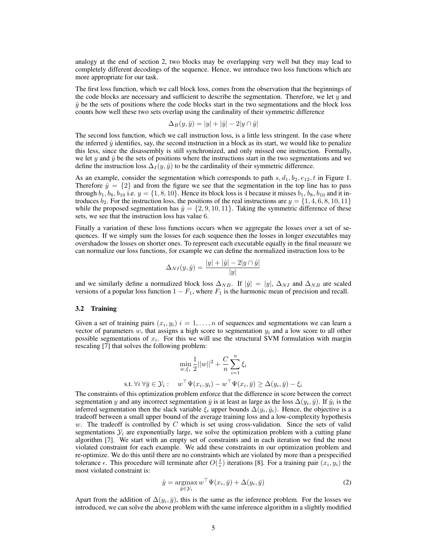analogy at the end of section 2, two blocks may be overlapping very well but they may lead to completely different decodings of the sequence. Hence, we introduce two loss functions which are more appropriate for our task.

The first loss function, which we call block loss, comes from the observation that the beginnings of the code blocks are necessary and sufficient to describe the segmentation. Therefore, we let  $y$  and  $\hat{y}$  be the sets of positions where the code blocks start in the two segmentations and the block loss counts how well these two sets overlap using the cardinality of their symmetric difference

$$
\Delta_B(y, \hat{y}) = |y| + |\hat{y}| - 2|y \cap \hat{y}|
$$

The second loss function, which we call instruction loss, is a little less stringent. In the case where the inferred  $\hat{y}$  identifies, say, the second instruction in a block as its start, we would like to penalize this less, since the disassembly is still synchronized, and only missed one instruction. Formally, we let y and  $\hat{y}$  be the sets of positions where the instructions start in the two segmentations and we define the instruction loss  $\Delta_I(y, \hat{y})$  to be the cardinality of their symmetric difference.

As an example, consider the segmentation which corresponds to path  $s, d_1, b_2, e_{12}, t$  in Figure 1. Therefore  $\hat{y} = \{2\}$  and from the figure we see that the segmentation in the top line has to pass through  $b_1$ ,  $b_8$ ,  $b_{10}$  i.e.  $y = \{1, 8, 10\}$ . Hence its block loss is 4 because it misses  $b_1$ ,  $b_8$ ,  $b_{10}$  and it introduces  $b_2$ . For the instruction loss, the positions of the real instructions are  $y = \{1, 4, 6, 8, 10, 11\}$ while the proposed segmentation has  $\hat{y} = \{2, 9, 10, 11\}$ . Taking the symmetric difference of these sets, we see that the instruction loss has value 6.

Finally a variation of these loss functions occurs when we aggregate the losses over a set of sequences. If we simply sum the losses for each sequence then the losses in longer executables may overshadow the losses on shorter ones. To represent each executable equally in the final measure we can normalize our loss functions, for example we can define the normalized instruction loss to be

$$
\Delta_{NI}(y,\hat{y}) = \frac{|y| + |\hat{y}| - 2|y \cap \hat{y}|}{|y|}
$$

and we similarly define a normalized block loss  $\Delta_{NB}$ . If  $|\hat{y}| = |y|$ ,  $\Delta_{NI}$  and  $\Delta_{NB}$  are scaled versions of a popular loss function  $1 - F_1$ , where  $F_1$  is the harmonic mean of precision and recall.

#### 3.2 Training

Given a set of training pairs  $(x_i, y_i)$   $i = 1, \ldots, n$  of sequences and segmentations we can learn a vector of parameters w, that assigns a high score to segmentation  $y_i$  and a low score to all other possible segmentations of  $x_i$ . For this we will use the structural SVM formulation with margin rescaling [7] that solves the following problem:

$$
\min_{w,\xi_i} \frac{1}{2} ||w||^2 + \frac{C}{n} \sum_{i=1}^n \xi_i
$$
  
s.t.  $\forall i \forall \bar{y} \in \mathcal{Y}_i : \quad w^\top \Psi(x_i, y_i) - w^\top \Psi(x_i, \bar{y}) \ge \Delta(y_i, \bar{y}) - \xi_i$ 

The constraints of this optimization problem enforce that the difference in score between the correct segmentation y and any incorrect segmentation  $\bar{y}$  is at least as large as the loss  $\Delta(y_i, \bar{y})$ . If  $\hat{y}_i$  is the inferred segmentation then the slack variable  $\xi_i$  upper bounds  $\Delta(y_i, \hat{y}_i)$ . Hence, the objective is a tradeoff between a small upper bound of the average training loss and a low-complexity hypothesis  $w$ . The tradeoff is controlled by  $C$  which is set using cross-validation. Since the sets of valid segmentations  $\mathcal{Y}_i$  are exponentially large, we solve the optimization problem with a cutting plane algorithm [7]. We start with an empty set of constraints and in each iteration we find the most violated constraint for each example. We add these constraints in our optimization problem and re-optimize. We do this until there are no constraints which are violated by more than a prespecified tolerance  $\epsilon$ . This procedure will terminate after  $O(\frac{1}{\epsilon})$  iterations [8]. For a training pair  $(x_i, y_i)$  the most violated constraint is:

$$
\hat{y} = \underset{\bar{y} \in \mathcal{Y}_i}{\operatorname{argmax}} w^\top \Psi(x_i, \bar{y}) + \Delta(y_i, \bar{y})
$$
\n(2)

Apart from the addition of  $\Delta(y_i, \bar{y})$ , this is the same as the inference problem. For the losses we introduced, we can solve the above problem with the same inference algorithm in a slightly modified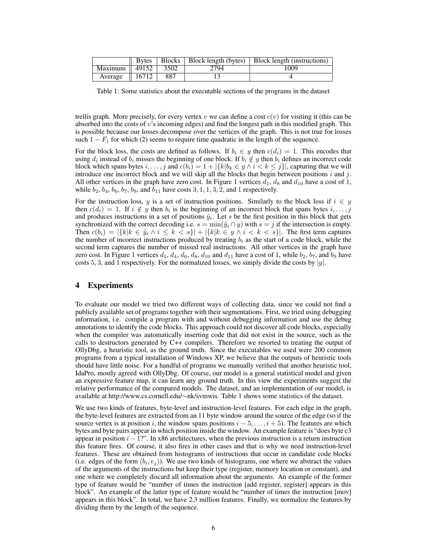|                                       | <b>B</b> ytes     |      |      | Blocks   Block length (bytes)   Block length (instructions) |
|---------------------------------------|-------------------|------|------|-------------------------------------------------------------|
| Maximum $\parallel$ 49152 $\parallel$ |                   | 3502 | 2794 | 1009                                                        |
| Average                               | $\parallel$ 16712 | 887  |      |                                                             |

Table 1: Some statistics about the executable sections of the programs in the dataset

trellis graph. More precisely, for every vertex v we can define a cost  $c(v)$  for visiting it (this can be absorbed into the costs of  $v$ 's incoming edges) and find the longest path in this modified graph. This is possible because our losses decompose over the vertices of the graph. This is not true for losses such  $1 - F_1$  for which (2) seems to require time quadratic in the length of the sequence.

For the block loss, the costs are defined as follows. If  $b_i \in y$  then  $c(d_i) = 1$ . This encodes that using  $d_i$  instead of  $b_i$  misses the beginning of one block. If  $b_i \notin y$  then  $b_i$  defines an incorrect code block which spans bytes  $i, \ldots, j$  and  $c(b_i) = 1 + |\{k | b_k \in y \land i < k \leq j\}|$ , capturing that we will introduce one incorrect block and we will skip all the blocks that begin between positions i and j. All other vertices in the graph have zero cost. In Figure 1 vertices  $d_1$ ,  $d_8$  and  $d_{10}$  have a cost of 1, while  $b_2$ ,  $b_4$ ,  $b_6$ ,  $b_7$ ,  $b_9$ , and  $b_{11}$  have costs 3, 1, 1, 3, 2, and 1 respectively.

For the instruction loss, y is a set of instruction positions. Similarly to the block loss if  $i \in y$ then  $c(d_i) = 1$ . If  $i \notin y$  then  $b_i$  is the beginning of an incorrect block that spans bytes  $i, \ldots, j$ and produces instructions in a set of positions  $\tilde{y}_i$ . Let s be the first position in this block that gets synchronized with the correct decoding i.e.  $s = \min(\tilde{y}_i \cap y)$  with  $s = j$  if the intersection is empty. Then  $c(b_i) = |\{k | k \in \tilde{y}_i \land i \leq k < s\}| + |\{k | k \in y \land i < k < s\}|$ . The first term captures the number of incorrect instructions produced by treating  $b_i$  as the start of a code block, while the second term captures the number of missed real instructions. All other vertices in the graph have zero cost. In Figure 1 vertices  $d_1$ ,  $d_4$ ,  $d_6$ ,  $d_8$ ,  $d_{10}$  and  $d_{11}$  have a cost of 1, while  $b_2$ ,  $b_7$ , and  $b_9$  have costs 5, 3, and 1 respectively. For the normalized losses, we simply divide the costs by  $|y|$ .

## 4 Experiments

To evaluate our model we tried two different ways of collecting data, since we could not find a publicly available set of programs together with their segmentations. First, we tried using debugging information, i.e. compile a program with and without debugging information and use the debug annotations to identify the code blocks. This approach could not discover all code blocks, especially when the compiler was automatically inserting code that did not exist in the source, such as the calls to destructors generated by C++ compilers. Therefore we resorted to treating the output of OllyDbg, a heuristic tool, as the ground truth. Since the executables we used were 200 common programs from a typical installation of Windows XP, we believe that the outputs of heuristic tools should have little noise. For a handful of programs we manually verified that another heuristic tool, IdaPro, mostly agreed with OllyDbg. Of course, our model is a general statistical model and given an expressive feature map, it can learn any ground truth. In this view the experiments suggest the relative performance of the compared models. The dataset, and an implementation of our model, is available at http://www.cs.cornell.edu/∼nk/svmwis. Table 1 shows some statistics of the dataset.

We use two kinds of features, byte-level and instruction-level features. For each edge in the graph, the byte-level features are extracted from an 11 byte window around the source of the edge (so if the source vertex is at position i, the window spans positions  $i - 5, \ldots, i + 5$ ). The features are which bytes and byte pairs appear in which position inside the window. An example feature is "does byte c3 appear in position  $i - 1$ ?". In x86 architectures, when the previous instruction is a return instruction this feature fires. Of course, it also fires in other cases and that is why we need instruction-level features. These are obtained from histograms of instructions that occur in candidate code blocks (i.e. edges of the form  $(b_i, e_j)$ ). We use two kinds of histograms, one where we abstract the values of the arguments of the instructions but keep their type (register, memory location or constant), and one where we completely discard all information about the arguments. An example of the former type of feature would be "number of times the instruction [add register, register] appears in this block". An example of the latter type of feature would be "number of times the instruction [mov] appears in this block". In total, we have 2.3 million features. Finally, we normalize the features by dividing them by the length of the sequence.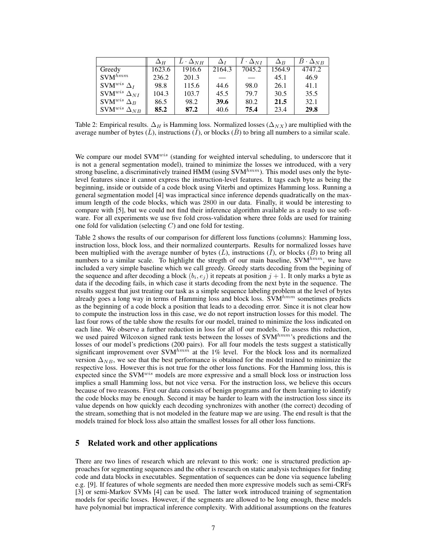|                                  | $\Delta_H$ | $L \cdot \Delta_{NH}$ | $\Delta_I$ | $\bar{I} \cdot \Delta_{NI}$ | $\Delta_B$ | $B\cdot \Delta_{NB}$ |
|----------------------------------|------------|-----------------------|------------|-----------------------------|------------|----------------------|
| Greedy                           | 1623.6     | 1916.6                | 2164.3     | 7045.2                      | 1564.9     | 4747.2               |
| $SVM^{hmm}$                      | 236.2      | 201.3                 |            |                             | 45.1       | 46.9                 |
| SVM <sup>wis</sup> $\Delta_I$    | 98.8       | 115.6                 | 44.6       | 98.0                        | 26.1       | 41.1                 |
| SVM <sup>wis</sup> $\Delta_{NI}$ | 104.3      | 103.7                 | 45.5       | 79.7                        | 30.5       | 35.5                 |
| SVM <sup>wis</sup> $\Delta_B$    | 86.5       | 98.2                  | 39.6       | 80.2                        | 21.5       | 32.1                 |
| SVM $^{wis}$ $\Delta_{NB}$       | 85.2       | 87.2                  | 40.6       | 75.4                        | 23.4       | 29.8                 |

Table 2: Empirical results.  $\Delta_H$  is Hamming loss. Normalized losses ( $\Delta_{NX}$ ) are multiplied with the average number of bytes  $(\bar{L})$ , instructions  $(\bar{I})$ , or blocks  $(\bar{B})$  to bring all numbers to a similar scale.

We compare our model SVM<sup>wis</sup> (standing for weighted interval scheduling, to underscore that it is not a general segmentation model), trained to minimize the losses we introduced, with a very strong baseline, a discriminatively trained HMM (using  $SVM^{hmm}$ ). This model uses only the bytelevel features since it cannot express the instruction-level features. It tags each byte as being the beginning, inside or outside of a code block using Viterbi and optimizes Hamming loss. Running a general segmentation model [4] was impractical since inference depends quadratically on the maximum length of the code blocks, which was 2800 in our data. Finally, it would be interesting to compare with [5], but we could not find their inference algorithm available as a ready to use software. For all experiments we use five fold cross-validation where three folds are used for training one fold for validation (selecting  $C$ ) and one fold for testing.

Table 2 shows the results of our comparison for different loss functions (columns): Hamming loss, instruction loss, block loss, and their normalized counterparts. Results for normalized losses have been multiplied with the average number of bytes  $(\bar{L})$ , instructions  $(\bar{I})$ , or blocks  $(\bar{B})$  to bring all numbers to a similar scale. To highlight the stregth of our main baseline,  $\text{SVM}^{hmm}$ , we have included a very simple baseline which we call greedy. Greedy starts decoding from the begining of the sequence and after decoding a block  $(b_i, e_j)$  it repeats at position  $j + 1$ . It only marks a byte as data if the decoding fails, in which case it starts decoding from the next byte in the sequence. The results suggest that just treating our task as a simple sequence labeling problem at the level of bytes already goes a long way in terms of Hamming loss and block loss.  $SVM^{hmm}$  sometimes predicts as the beginning of a code block a position that leads to a decoding error. Since it is not clear how to compute the instruction loss in this case, we do not report instruction losses for this model. The last four rows of the table show the results for our model, trained to minimize the loss indicated on each line. We observe a further reduction in loss for all of our models. To assess this reduction, we used paired Wilcoxon signed rank tests between the losses of  $\text{SVM}^{hmm}$ 's predictions and the losses of our model's predictions (200 pairs). For all four models the tests suggest a statistically significant improvement over  $\text{SVM}^{hmm}$  at the 1% level. For the block loss and its normalized version  $\Delta_{NB}$ , we see that the best performance is obtained for the model trained to minimize the respective loss. However this is not true for the other loss functions. For the Hamming loss, this is expected since the SVM<sup>wis</sup> models are more expressive and a small block loss or instruction loss implies a small Hamming loss, but not vice versa. For the instruction loss, we believe this occurs because of two reasons. First our data consists of benign programs and for them learning to identify the code blocks may be enough. Second it may be harder to learn with the instruction loss since its value depends on how quickly each decoding synchronizes with another (the correct) decoding of the stream, something that is not modeled in the feature map we are using. The end result is that the models trained for block loss also attain the smallest losses for all other loss functions.

## 5 Related work and other applications

There are two lines of research which are relevant to this work: one is structured prediction approaches for segmenting sequences and the other is research on static analysis techniques for finding code and data blocks in executables. Segmentation of sequences can be done via sequence labeling e.g. [9]. If features of whole segments are needed then more expressive models such as semi-CRFs [3] or semi-Markov SVMs [4] can be used. The latter work introduced training of segmentation models for specific losses. However, if the segments are allowed to be long enough, these models have polynomial but impractical inference complexity. With additional assumptions on the features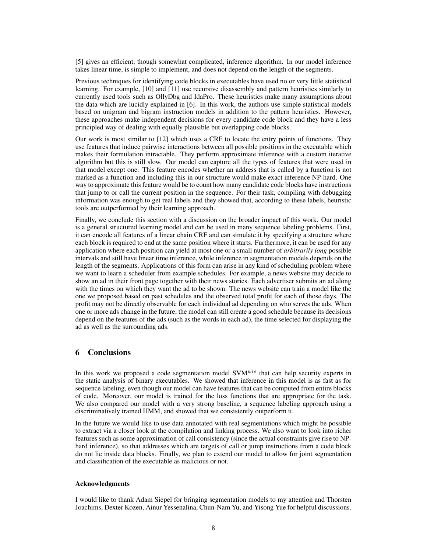[5] gives an efficient, though somewhat complicated, inference algorithm. In our model inference takes linear time, is simple to implement, and does not depend on the length of the segments.

Previous techniques for identifying code blocks in executables have used no or very little statistical learning. For example, [10] and [11] use recursive disassembly and pattern heuristics similarly to currently used tools such as OllyDbg and IdaPro. These heuristics make many assumptions about the data which are lucidly explained in [6]. In this work, the authors use simple statistical models based on unigram and bigram instruction models in addition to the pattern heuristics. However, these approaches make independent decisions for every candidate code block and they have a less principled way of dealing with equally plausible but overlapping code blocks.

Our work is most similar to [12] which uses a CRF to locate the entry points of functions. They use features that induce pairwise interactions between all possible positions in the executable which makes their formulation intractable. They perform approximate inference with a custom iterative algorithm but this is still slow. Our model can capture all the types of features that were used in that model except one. This feature encodes whether an address that is called by a function is not marked as a function and including this in our structure would make exact inference NP-hard. One way to approximate this feature would be to count how many candidate code blocks have instructions that jump to or call the current position in the sequence. For their task, compiling with debugging information was enough to get real labels and they showed that, according to these labels, heuristic tools are outperformed by their learning approach.

Finally, we conclude this section with a discussion on the broader impact of this work. Our model is a general structured learning model and can be used in many sequence labeling problems. First, it can encode all features of a linear chain CRF and can simulate it by specifying a structure where each block is required to end at the same position where it starts. Furthermore, it can be used for any application where each position can yield at most one or a small number of *arbitrarily long* possible intervals and still have linear time inference, while inference in segmentation models depends on the length of the segments. Applications of this form can arise in any kind of scheduling problem where we want to learn a scheduler from example schedules. For example, a news website may decide to show an ad in their front page together with their news stories. Each advertiser submits an ad along with the times on which they want the ad to be shown. The news website can train a model like the one we proposed based on past schedules and the observed total profit for each of those days. The profit may not be directly observable for each individual ad depending on who serves the ads. When one or more ads change in the future, the model can still create a good schedule because its decisions depend on the features of the ads (such as the words in each ad), the time selected for displaying the ad as well as the surrounding ads.

# 6 Conclusions

In this work we proposed a code segmentation model  $SVM^{wis}$  that can help security experts in the static analysis of binary executables. We showed that inference in this model is as fast as for sequence labeling, even though our model can have features that can be computed from entire blocks of code. Moreover, our model is trained for the loss functions that are appropriate for the task. We also compared our model with a very strong baseline, a sequence labeling approach using a discriminatively trained HMM, and showed that we consistently outperform it.

In the future we would like to use data annotated with real segmentations which might be possible to extract via a closer look at the compilation and linking process. We also want to look into richer features such as some approximation of call consistency (since the actual constraints give rise to NPhard inference), so that addresses which are targets of call or jump instructions from a code block do not lie inside data blocks. Finally, we plan to extend our model to allow for joint segmentation and classification of the executable as malicious or not.

## Acknowledgments

I would like to thank Adam Siepel for bringing segmentation models to my attention and Thorsten Joachims, Dexter Kozen, Ainur Yessenalina, Chun-Nam Yu, and Yisong Yue for helpful discussions.